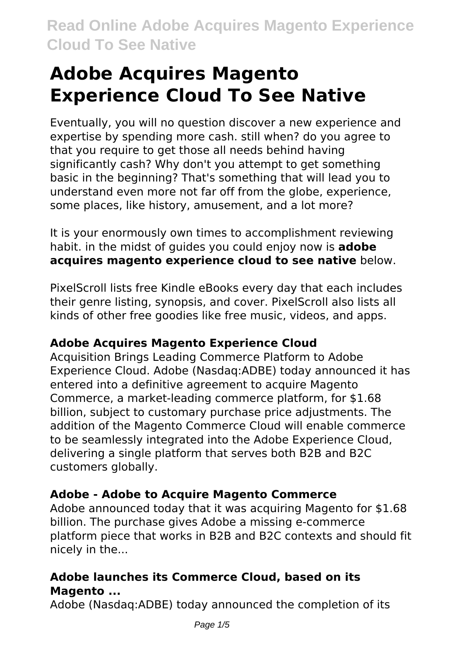# **Adobe Acquires Magento Experience Cloud To See Native**

Eventually, you will no question discover a new experience and expertise by spending more cash. still when? do you agree to that you require to get those all needs behind having significantly cash? Why don't you attempt to get something basic in the beginning? That's something that will lead you to understand even more not far off from the globe, experience, some places, like history, amusement, and a lot more?

It is your enormously own times to accomplishment reviewing habit. in the midst of guides you could enjoy now is **adobe acquires magento experience cloud to see native** below.

PixelScroll lists free Kindle eBooks every day that each includes their genre listing, synopsis, and cover. PixelScroll also lists all kinds of other free goodies like free music, videos, and apps.

# **Adobe Acquires Magento Experience Cloud**

Acquisition Brings Leading Commerce Platform to Adobe Experience Cloud. Adobe (Nasdaq:ADBE) today announced it has entered into a definitive agreement to acquire Magento Commerce, a market-leading commerce platform, for \$1.68 billion, subject to customary purchase price adjustments. The addition of the Magento Commerce Cloud will enable commerce to be seamlessly integrated into the Adobe Experience Cloud, delivering a single platform that serves both B2B and B2C customers globally.

# **Adobe - Adobe to Acquire Magento Commerce**

Adobe announced today that it was acquiring Magento for \$1.68 billion. The purchase gives Adobe a missing e-commerce platform piece that works in B2B and B2C contexts and should fit nicely in the...

# **Adobe launches its Commerce Cloud, based on its Magento ...**

Adobe (Nasdaq:ADBE) today announced the completion of its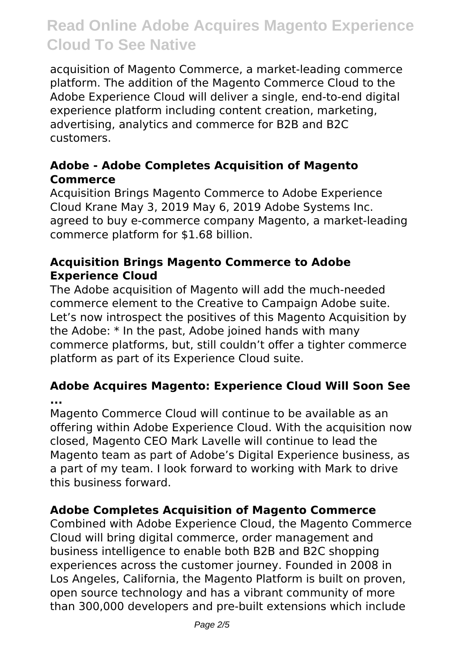acquisition of Magento Commerce, a market-leading commerce platform. The addition of the Magento Commerce Cloud to the Adobe Experience Cloud will deliver a single, end-to-end digital experience platform including content creation, marketing, advertising, analytics and commerce for B2B and B2C customers.

### **Adobe - Adobe Completes Acquisition of Magento Commerce**

Acquisition Brings Magento Commerce to Adobe Experience Cloud Krane May 3, 2019 May 6, 2019 Adobe Systems Inc. agreed to buy e-commerce company Magento, a market-leading commerce platform for \$1.68 billion.

## **Acquisition Brings Magento Commerce to Adobe Experience Cloud**

The Adobe acquisition of Magento will add the much-needed commerce element to the Creative to Campaign Adobe suite. Let's now introspect the positives of this Magento Acquisition by the Adobe: \* In the past, Adobe joined hands with many commerce platforms, but, still couldn't offer a tighter commerce platform as part of its Experience Cloud suite.

### **Adobe Acquires Magento: Experience Cloud Will Soon See ...**

Magento Commerce Cloud will continue to be available as an offering within Adobe Experience Cloud. With the acquisition now closed, Magento CEO Mark Lavelle will continue to lead the Magento team as part of Adobe's Digital Experience business, as a part of my team. I look forward to working with Mark to drive this business forward.

# **Adobe Completes Acquisition of Magento Commerce**

Combined with Adobe Experience Cloud, the Magento Commerce Cloud will bring digital commerce, order management and business intelligence to enable both B2B and B2C shopping experiences across the customer journey. Founded in 2008 in Los Angeles, California, the Magento Platform is built on proven, open source technology and has a vibrant community of more than 300,000 developers and pre-built extensions which include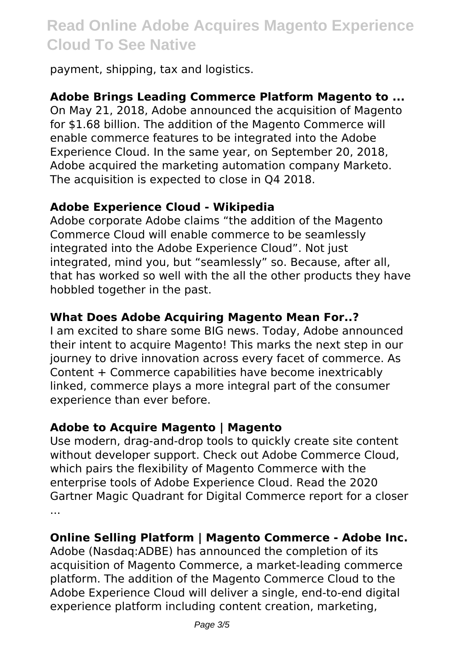payment, shipping, tax and logistics.

# **Adobe Brings Leading Commerce Platform Magento to ...**

On May 21, 2018, Adobe announced the acquisition of Magento for \$1.68 billion. The addition of the Magento Commerce will enable commerce features to be integrated into the Adobe Experience Cloud. In the same year, on September 20, 2018, Adobe acquired the marketing automation company Marketo. The acquisition is expected to close in Q4 2018.

### **Adobe Experience Cloud - Wikipedia**

Adobe corporate Adobe claims "the addition of the Magento Commerce Cloud will enable commerce to be seamlessly integrated into the Adobe Experience Cloud". Not just integrated, mind you, but "seamlessly" so. Because, after all, that has worked so well with the all the other products they have hobbled together in the past.

### **What Does Adobe Acquiring Magento Mean For..?**

I am excited to share some BIG news. Today, Adobe announced their intent to acquire Magento! This marks the next step in our journey to drive innovation across every facet of commerce. As Content + Commerce capabilities have become inextricably linked, commerce plays a more integral part of the consumer experience than ever before.

### **Adobe to Acquire Magento | Magento**

Use modern, drag-and-drop tools to quickly create site content without developer support. Check out Adobe Commerce Cloud, which pairs the flexibility of Magento Commerce with the enterprise tools of Adobe Experience Cloud. Read the 2020 Gartner Magic Quadrant for Digital Commerce report for a closer ...

### **Online Selling Platform | Magento Commerce - Adobe Inc.**

Adobe (Nasdaq:ADBE) has announced the completion of its acquisition of Magento Commerce, a market-leading commerce platform. The addition of the Magento Commerce Cloud to the Adobe Experience Cloud will deliver a single, end-to-end digital experience platform including content creation, marketing,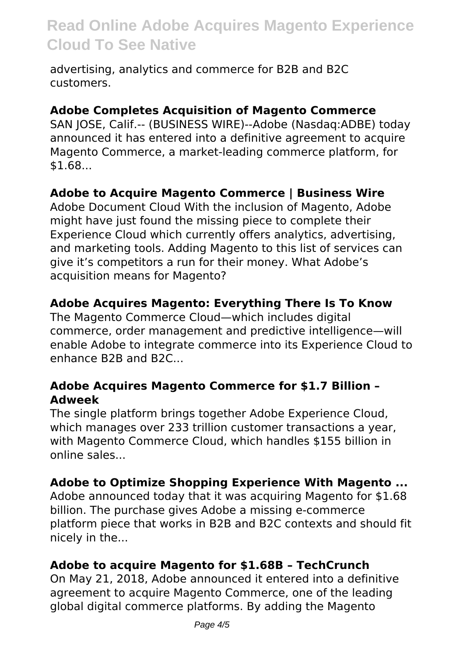advertising, analytics and commerce for B2B and B2C customers.

#### **Adobe Completes Acquisition of Magento Commerce**

SAN JOSE, Calif.-- (BUSINESS WIRE)--Adobe (Nasdaq:ADBE) today announced it has entered into a definitive agreement to acquire Magento Commerce, a market-leading commerce platform, for \$1.68...

### **Adobe to Acquire Magento Commerce | Business Wire**

Adobe Document Cloud With the inclusion of Magento, Adobe might have just found the missing piece to complete their Experience Cloud which currently offers analytics, advertising, and marketing tools. Adding Magento to this list of services can give it's competitors a run for their money. What Adobe's acquisition means for Magento?

#### **Adobe Acquires Magento: Everything There Is To Know**

The Magento Commerce Cloud—which includes digital commerce, order management and predictive intelligence—will enable Adobe to integrate commerce into its Experience Cloud to enhance B2B and B2C...

#### **Adobe Acquires Magento Commerce for \$1.7 Billion – Adweek**

The single platform brings together Adobe Experience Cloud, which manages over 233 trillion customer transactions a year, with Magento Commerce Cloud, which handles \$155 billion in online sales...

### **Adobe to Optimize Shopping Experience With Magento ...**

Adobe announced today that it was acquiring Magento for \$1.68 billion. The purchase gives Adobe a missing e-commerce platform piece that works in B2B and B2C contexts and should fit nicely in the...

### **Adobe to acquire Magento for \$1.68B – TechCrunch**

On May 21, 2018, Adobe announced it entered into a definitive agreement to acquire Magento Commerce, one of the leading global digital commerce platforms. By adding the Magento